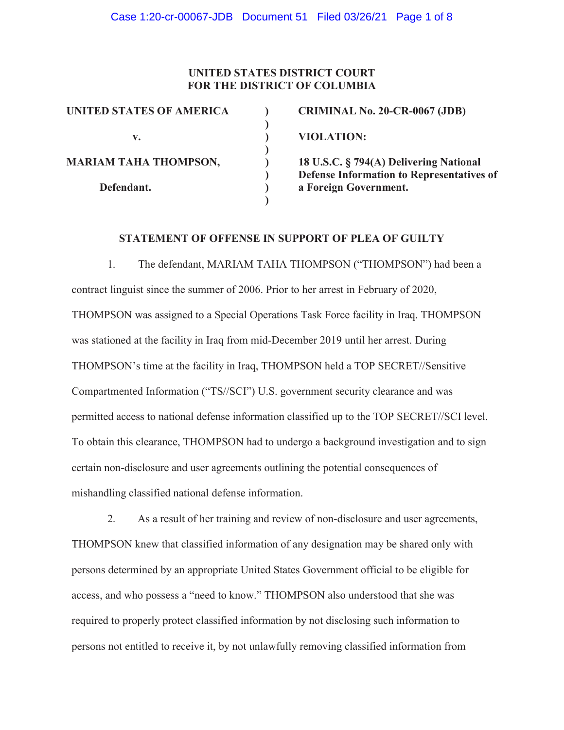### **UNITED STATES DISTRICT COURT FOR THE DISTRICT OF COLUMBIA**

**)** 

**)** 

**)** 

| <b>UNITED STATES OF AMERICA</b> |  |
|---------------------------------|--|
| $\mathbf{V}$ .                  |  |
| <b>MARIAM TAHA THOMPSON,</b>    |  |
| Defendant.                      |  |

**CRIMINAL No. 20-CR-0067 (JDB)** 

**v. ) VIOLATION:**

**Maria Taha Taha Taha 18 U.S.C. § 794(A) Delivering National ) Defense Information to Representatives of** a Foreign Government.

## **STATEMENT OF OFFENSE IN SUPPORT OF PLEA OF GUILTY**

1. The defendant, MARIAM TAHA THOMPSON ("THOMPSON") had been a contract linguist since the summer of 2006. Prior to her arrest in February of 2020, THOMPSON was assigned to a Special Operations Task Force facility in Iraq. THOMPSON was stationed at the facility in Iraq from mid-December 2019 until her arrest. During THOMPSON's time at the facility in Iraq, THOMPSON held a TOP SECRET//Sensitive Compartmented Information ("TS//SCI") U.S. government security clearance and was permitted access to national defense information classified up to the TOP SECRET//SCI level. To obtain this clearance, THOMPSON had to undergo a background investigation and to sign certain non-disclosure and user agreements outlining the potential consequences of mishandling classified national defense information.

2. As a result of her training and review of non-disclosure and user agreements, THOMPSON knew that classified information of any designation may be shared only with persons determined by an appropriate United States Government official to be eligible for access, and who possess a "need to know." THOMPSON also understood that she was required to properly protect classified information by not disclosing such information to persons not entitled to receive it, by not unlawfully removing classified information from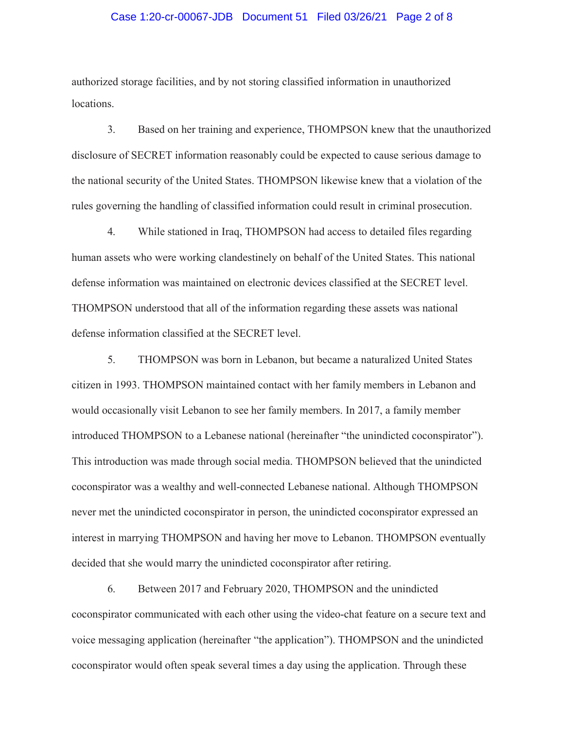#### Case 1:20-cr-00067-JDB Document 51 Filed 03/26/21 Page 2 of 8

authorized storage facilities, and by not storing classified information in unauthorized locations.

3. Based on her training and experience, THOMPSON knew that the unauthorized disclosure of SECRET information reasonably could be expected to cause serious damage to the national security of the United States. THOMPSON likewise knew that a violation of the rules governing the handling of classified information could result in criminal prosecution.

4. While stationed in Iraq, THOMPSON had access to detailed files regarding human assets who were working clandestinely on behalf of the United States. This national defense information was maintained on electronic devices classified at the SECRET level. THOMPSON understood that all of the information regarding these assets was national defense information classified at the SECRET level.

5. THOMPSON was born in Lebanon, but became a naturalized United States citizen in 1993. THOMPSON maintained contact with her family members in Lebanon and would occasionally visit Lebanon to see her family members. In 2017, a family member introduced THOMPSON to a Lebanese national (hereinafter "the unindicted coconspirator"). This introduction was made through social media. THOMPSON believed that the unindicted coconspirator was a wealthy and well-connected Lebanese national. Although THOMPSON never met the unindicted coconspirator in person, the unindicted coconspirator expressed an interest in marrying THOMPSON and having her move to Lebanon. THOMPSON eventually decided that she would marry the unindicted coconspirator after retiring.

6. Between 2017 and February 2020, THOMPSON and the unindicted coconspirator communicated with each other using the video-chat feature on a secure text and voice messaging application (hereinafter "the application"). THOMPSON and the unindicted coconspirator would often speak several times a day using the application. Through these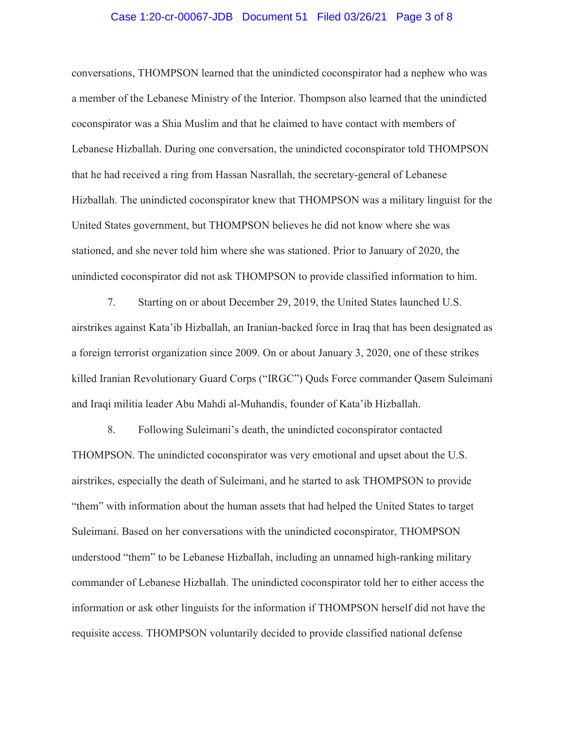#### Case 1:20-cr-00067-JDB Document 51 Filed 03/26/21 Page 3 of 8

conversations, THOMPSON learned that the unindicted coconspirator had a nephew who was a member of the Lebanese Ministry of the Interior. Thompson also learned that the unindicted coconspirator was a Shia Muslim and that he claimed to have contact with members of Lebanese Hizballah. During one conversation, the unindicted coconspirator told THOMPSON that he had received a ring from Hassan Nasrallah, the secretary-general of Lebanese Hizballah. The unindicted coconspirator knew that THOMPSON was a military linguist for the United States government, but THOMPSON believes he did not know where she was stationed, and she never told him where she was stationed. Prior to January of 2020, the unindicted coconspirator did not ask THOMPSON to provide classified information to him.

7. Starting on or about December 29, 2019, the United States launched U.S. airstrikes against Kata'ib Hizballah, an Iranian-backed force in Iraq that has been designated as a foreign terrorist organization since 2009. On or about January 3, 2020, one of these strikes killed Iranian Revolutionary Guard Corps ("IRGC") Quds Force commander Qasem Suleimani and Iraqi militia leader Abu Mahdi al-Muhandis, founder of Kata'ib Hizballah.

8. Following Suleimani's death, the unindicted coconspirator contacted THOMPSON. The unindicted coconspirator was very emotional and upset about the U.S. airstrikes, especially the death of Suleimani, and he started to ask THOMPSON to provide "them" with information about the human assets that had helped the United States to target Suleimani. Based on her conversations with the unindicted coconspirator, THOMPSON understood "them" to be Lebanese Hizballah, including an unnamed high-ranking military commander of Lebanese Hizballah. The unindicted coconspirator told her to either access the information or ask other linguists for the information if THOMPSON herself did not have the requisite access. THOMPSON voluntarily decided to provide classified national defense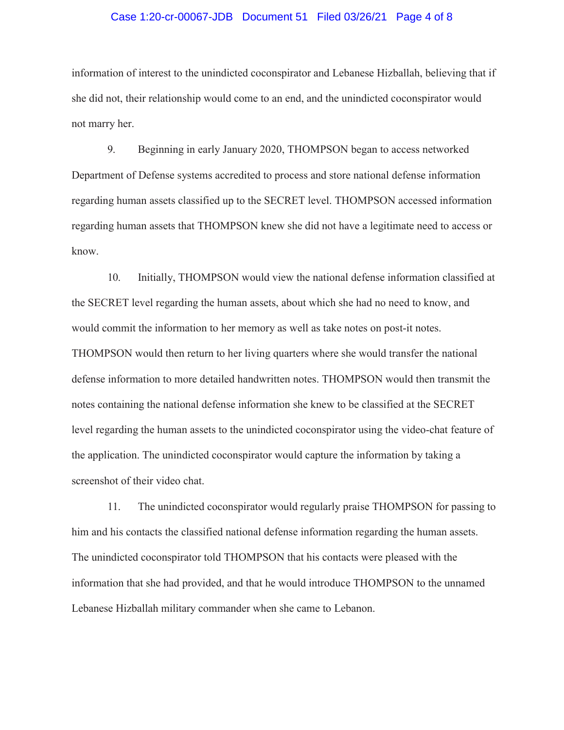#### Case 1:20-cr-00067-JDB Document 51 Filed 03/26/21 Page 4 of 8

information of interest to the unindicted coconspirator and Lebanese Hizballah, believing that if she did not, their relationship would come to an end, and the unindicted coconspirator would not marry her.

9. Beginning in early January 2020, THOMPSON began to access networked Department of Defense systems accredited to process and store national defense information regarding human assets classified up to the SECRET level. THOMPSON accessed information regarding human assets that THOMPSON knew she did not have a legitimate need to access or know.

10. Initially, THOMPSON would view the national defense information classified at the SECRET level regarding the human assets, about which she had no need to know, and would commit the information to her memory as well as take notes on post-it notes. THOMPSON would then return to her living quarters where she would transfer the national defense information to more detailed handwritten notes. THOMPSON would then transmit the notes containing the national defense information she knew to be classified at the SECRET level regarding the human assets to the unindicted coconspirator using the video-chat feature of the application. The unindicted coconspirator would capture the information by taking a screenshot of their video chat.

11. The unindicted coconspirator would regularly praise THOMPSON for passing to him and his contacts the classified national defense information regarding the human assets. The unindicted coconspirator told THOMPSON that his contacts were pleased with the information that she had provided, and that he would introduce THOMPSON to the unnamed Lebanese Hizballah military commander when she came to Lebanon.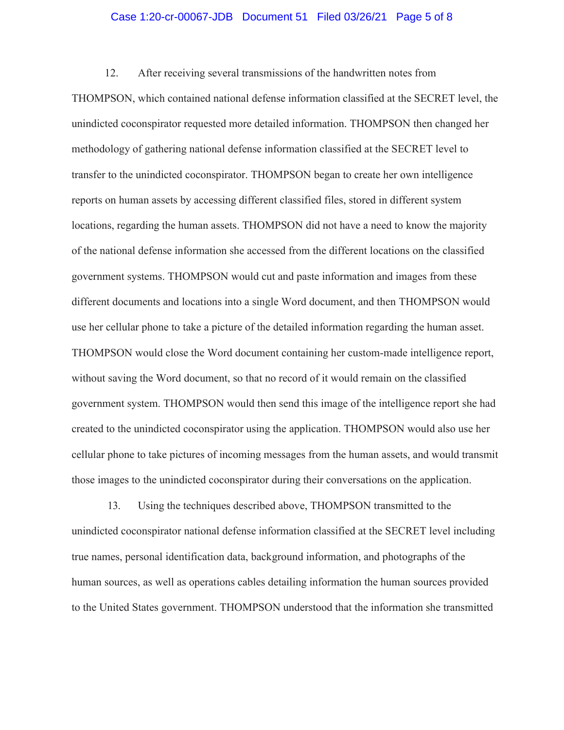#### Case 1:20-cr-00067-JDB Document 51 Filed 03/26/21 Page 5 of 8

12. After receiving several transmissions of the handwritten notes from THOMPSON, which contained national defense information classified at the SECRET level, the unindicted coconspirator requested more detailed information. THOMPSON then changed her methodology of gathering national defense information classified at the SECRET level to transfer to the unindicted coconspirator. THOMPSON began to create her own intelligence reports on human assets by accessing different classified files, stored in different system locations, regarding the human assets. THOMPSON did not have a need to know the majority of the national defense information she accessed from the different locations on the classified government systems. THOMPSON would cut and paste information and images from these different documents and locations into a single Word document, and then THOMPSON would use her cellular phone to take a picture of the detailed information regarding the human asset. THOMPSON would close the Word document containing her custom-made intelligence report, without saving the Word document, so that no record of it would remain on the classified government system. THOMPSON would then send this image of the intelligence report she had created to the unindicted coconspirator using the application. THOMPSON would also use her cellular phone to take pictures of incoming messages from the human assets, and would transmit those images to the unindicted coconspirator during their conversations on the application.

13. Using the techniques described above, THOMPSON transmitted to the unindicted coconspirator national defense information classified at the SECRET level including true names, personal identification data, background information, and photographs of the human sources, as well as operations cables detailing information the human sources provided to the United States government. THOMPSON understood that the information she transmitted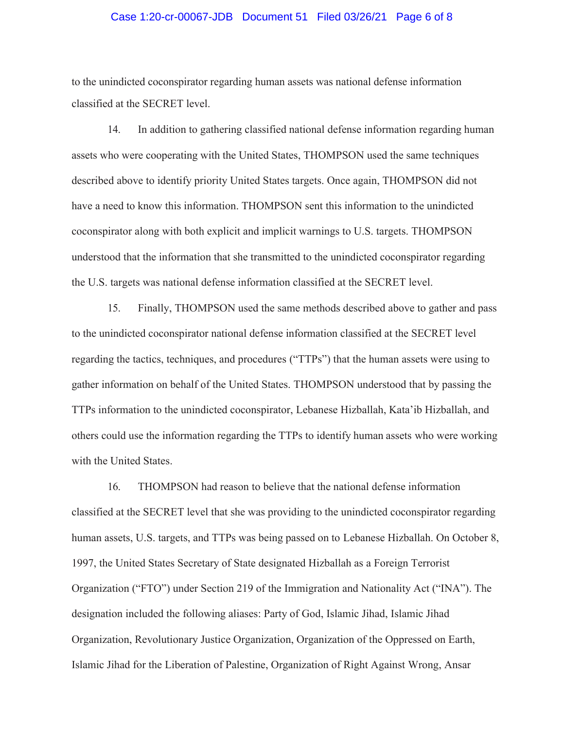#### Case 1:20-cr-00067-JDB Document 51 Filed 03/26/21 Page 6 of 8

to the unindicted coconspirator regarding human assets was national defense information classified at the SECRET level.

14. In addition to gathering classified national defense information regarding human assets who were cooperating with the United States, THOMPSON used the same techniques described above to identify priority United States targets. Once again, THOMPSON did not have a need to know this information. THOMPSON sent this information to the unindicted coconspirator along with both explicit and implicit warnings to U.S. targets. THOMPSON understood that the information that she transmitted to the unindicted coconspirator regarding the U.S. targets was national defense information classified at the SECRET level.

15. Finally, THOMPSON used the same methods described above to gather and pass to the unindicted coconspirator national defense information classified at the SECRET level regarding the tactics, techniques, and procedures ("TTPs") that the human assets were using to gather information on behalf of the United States. THOMPSON understood that by passing the TTPs information to the unindicted coconspirator, Lebanese Hizballah, Kata'ib Hizballah, and others could use the information regarding the TTPs to identify human assets who were working with the United States.

16. THOMPSON had reason to believe that the national defense information classified at the SECRET level that she was providing to the unindicted coconspirator regarding human assets, U.S. targets, and TTPs was being passed on to Lebanese Hizballah. On October 8, 1997, the United States Secretary of State designated Hizballah as a Foreign Terrorist Organization ("FTO") under Section 219 of the Immigration and Nationality Act ("INA"). The designation included the following aliases: Party of God, Islamic Jihad, Islamic Jihad Organization, Revolutionary Justice Organization, Organization of the Oppressed on Earth, Islamic Jihad for the Liberation of Palestine, Organization of Right Against Wrong, Ansar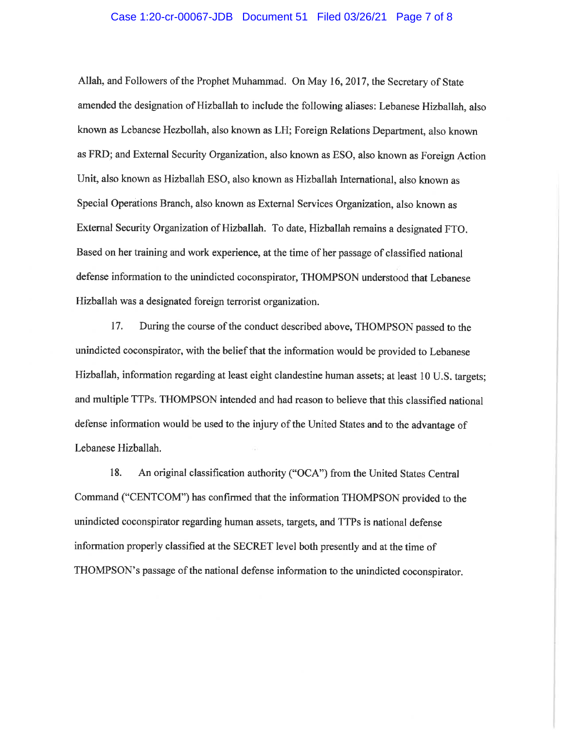#### Case 1:20-cr-00067-JDB Document 51 Filed 03/26/21 Page 7 of 8

Allah, and Followers of the Prophet Muhammad. On May 16, 2017, the Secretary of State amended the designation of Hizballah to include the following aliases: Lebanese Hizballah, also known as Lebanese Hezbollah, also known as LH; Foreign Relations Department, also known as FRD; and External Security Organization, also known as ESO, also known as Foreign Action Unit, also known as Hizballah ESO, also known as Hizballah International, also known as Special Operations Branch, also known as External Services Organization, also known as External Security Organization of Hizballah. To date, Hizballah remains a designated FTO. Based on her training and work experience, at the time of her passage of classified national defense information to the unindicted coconspirator, THOMPSON understood that Lebanese Hizballah was a designated foreign terrorist organization.

17. During the course of the conduct described above, THOMPSON passed to the unindicted coconspirator, with the belief that the information would be provided to Lebanese Hizballah, information regarding at least eight clandestine human assets; at least 10 U.S. targets; and multiple TTPs. THOMPSON intended and had reason to believe that this classified national defense information would be used to the injury of the United States and to the advantage of Lebanese Hizballah.

18. An original classification authority ("OCA") from the United States Central Command ("CENTCOM") has confirmed that the information THOMPSON provided to the unindicted coconspirator regarding human assets, targets, and TTPs is national defense information properly classified at the SECRET level both presently and at the time of THOMPSON's passage of the national defense information to the unindicted coconspirator.